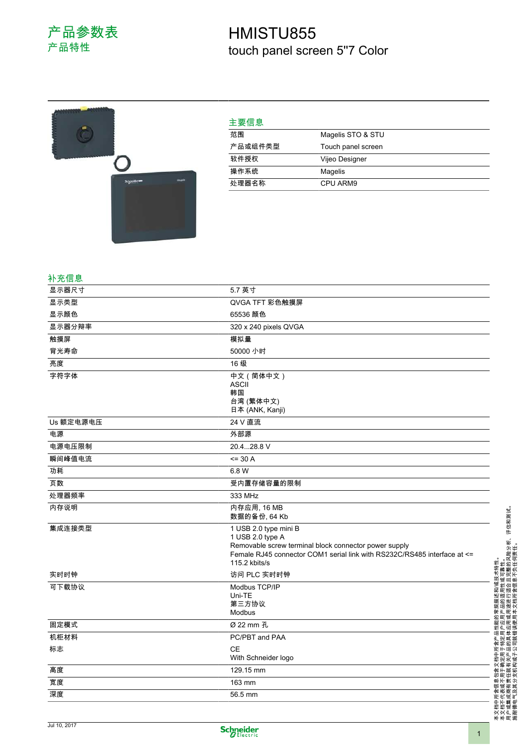## HMISTU855 touch panel screen 5''7 Color



| 主要信息    |                    |
|---------|--------------------|
| 范围      | Magelis STO & STU  |
| 产品或组件类型 | Touch panel screen |
| 软件授权    | Vijeo Designer     |
| 操作系统    | Magelis            |
| 处理器名称   | CPU ARM9           |

## 补充信息

| 显示器尺寸     | 5.7 英寸                                                                                                                                                                                          |
|-----------|-------------------------------------------------------------------------------------------------------------------------------------------------------------------------------------------------|
| 显示类型      | QVGA TFT 彩色触摸屏                                                                                                                                                                                  |
| 显示颜色      | 65536 颜色                                                                                                                                                                                        |
| 显示器分辩率    | 320 x 240 pixels QVGA                                                                                                                                                                           |
| 触摸屏       | 模拟量                                                                                                                                                                                             |
| 背光寿命      | 50000 小时                                                                                                                                                                                        |
| 亮度        | 16级                                                                                                                                                                                             |
| 字符字体      | 中文 (简体中文)<br><b>ASCII</b><br>韩国<br>台湾 (繁体中文)                                                                                                                                                    |
|           | 日本 (ANK, Kanji)                                                                                                                                                                                 |
| Us 额定电源电压 | 24 V 直流                                                                                                                                                                                         |
| 电源        | 外部源                                                                                                                                                                                             |
| 电源电压限制    | 20.428.8 V                                                                                                                                                                                      |
| 瞬间峰值电流    | $= 30 A$                                                                                                                                                                                        |
| 功耗        | 6.8 W                                                                                                                                                                                           |
| 页数        | 受内置存储容量的限制                                                                                                                                                                                      |
| 处理器频率     | 333 MHz                                                                                                                                                                                         |
| 内存说明      | 内存应用, 16 MB<br>数据的备份, 64 Kb                                                                                                                                                                     |
| 集成连接类型    | 1 USB 2.0 type mini B<br>1 USB 2.0 type A<br>Removable screw terminal block connector power supply<br>Female RJ45 connector COM1 serial link with RS232C/RS485 interface at <=<br>115.2 kbits/s |
| 实时时钟      | 访问 PLC 实时时钟                                                                                                                                                                                     |
| 可下载协议     | Modbus TCP/IP<br>Uni-TE<br>第三方协议<br>Modbus                                                                                                                                                      |
| 固定模式      | Ø 22 mm 孔                                                                                                                                                                                       |
| 机柜材料      | PC/PBT and PAA                                                                                                                                                                                  |
| 标志        | <b>CE</b><br>With Schneider logo                                                                                                                                                                |
| 高度        | 129.15 mm                                                                                                                                                                                       |
| 宽度        | 163 mm                                                                                                                                                                                          |
| 深度        | 56.5 mm                                                                                                                                                                                         |